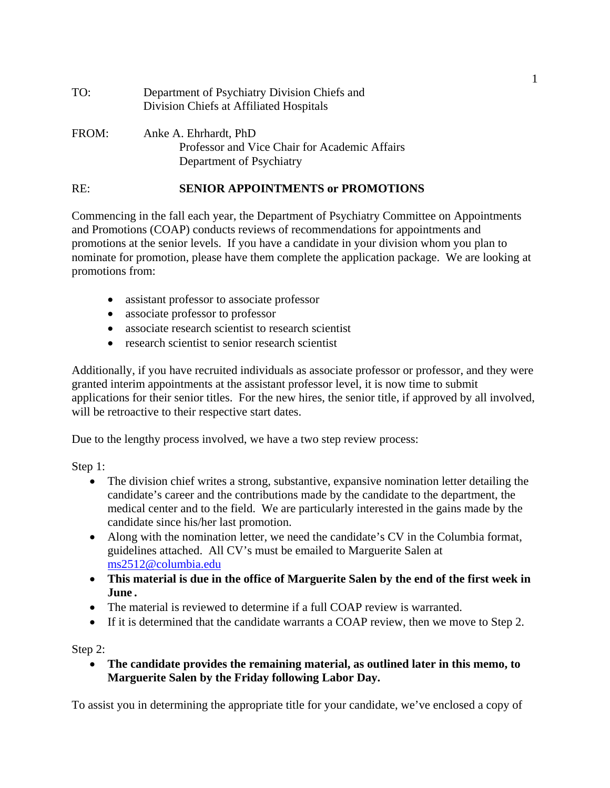| TO:   | Department of Psychiatry Division Chiefs and<br>Division Chiefs at Affiliated Hospitals            |
|-------|----------------------------------------------------------------------------------------------------|
| FROM: | Anke A. Ehrhardt, PhD<br>Professor and Vice Chair for Academic Affairs<br>Department of Psychiatry |

## RE: **SENIOR APPOINTMENTS or PROMOTIONS**

Commencing in the fall each year, the Department of Psychiatry Committee on Appointments and Promotions (COAP) conducts reviews of recommendations for appointments and promotions at the senior levels. If you have a candidate in your division whom you plan to nominate for promotion, please have them complete the application package. We are looking at promotions from:

- assistant professor to associate professor
- associate professor to professor
- associate research scientist to research scientist
- research scientist to senior research scientist

Additionally, if you have recruited individuals as associate professor or professor, and they were granted interim appointments at the assistant professor level, it is now time to submit applications for their senior titles. For the new hires, the senior title, if approved by all involved, will be retroactive to their respective start dates.

Due to the lengthy process involved, we have a two step review process:

Step 1:

- The division chief writes a strong, substantive, expansive nomination letter detailing the candidate's career and the contributions made by the candidate to the department, the medical center and to the field. We are particularly interested in the gains made by the candidate since his/her last promotion.
- Along with the nomination letter, we need the candidate's CV in the Columbia format, guidelines attached. All CV's must be emailed to Marguerite Salen at ms2512@columbia.edu
- **This material is due in the office of Marguerite Salen by the end of the first week in June .**
- The material is reviewed to determine if a full COAP review is warranted.
- If it is determined that the candidate warrants a COAP review, then we move to Step 2.

Step 2:

 **The candidate provides the remaining material, as outlined later in this memo, to Marguerite Salen by the Friday following Labor Day.** 

To assist you in determining the appropriate title for your candidate, we've enclosed a copy of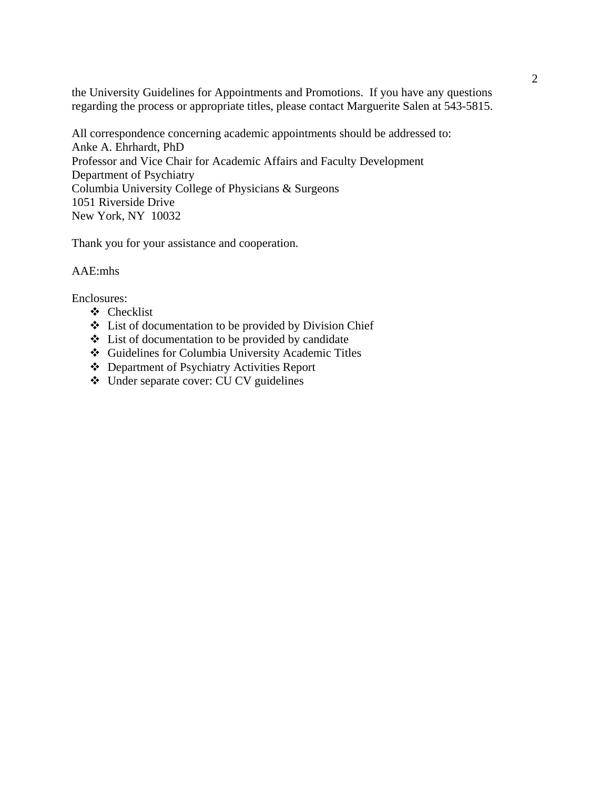the University Guidelines for Appointments and Promotions. If you have any questions regarding the process or appropriate titles, please contact Marguerite Salen at 543-5815.

All correspondence concerning academic appointments should be addressed to: Anke A. Ehrhardt, PhD Professor and Vice Chair for Academic Affairs and Faculty Development Department of Psychiatry Columbia University College of Physicians & Surgeons 1051 Riverside Drive New York, NY 10032

Thank you for your assistance and cooperation.

### AAE:mhs

Enclosures:

- Checklist
- List of documentation to be provided by Division Chief
- $\triangle$  List of documentation to be provided by candidate
- Guidelines for Columbia University Academic Titles
- Department of Psychiatry Activities Report
- Under separate cover: CU CV guidelines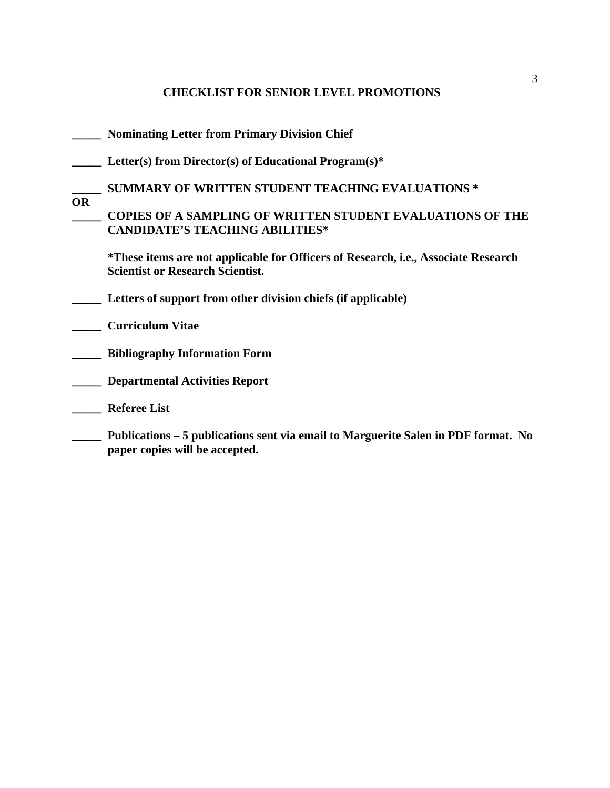# **CHECKLIST FOR SENIOR LEVEL PROMOTIONS**

|           | <b>Nominating Letter from Primary Division Chief</b>                                                                          |
|-----------|-------------------------------------------------------------------------------------------------------------------------------|
|           | Letter(s) from Director(s) of Educational Program(s)*                                                                         |
|           | <b>SUMMARY OF WRITTEN STUDENT TEACHING EVALUATIONS *</b>                                                                      |
| <b>OR</b> | <b>COPIES OF A SAMPLING OF WRITTEN STUDENT EVALUATIONS OF THE</b><br><b>CANDIDATE'S TEACHING ABILITIES*</b>                   |
|           | *These items are not applicable for Officers of Research, i.e., Associate Research<br><b>Scientist or Research Scientist.</b> |
|           | Letters of support from other division chiefs (if applicable)                                                                 |
|           | <b>Curriculum Vitae</b>                                                                                                       |
|           | <b>Bibliography Information Form</b>                                                                                          |
|           | <b>Departmental Activities Report</b>                                                                                         |
|           | <b>Referee List</b>                                                                                                           |
|           | Publications – 5 publications sent via email to Marguerite Salen in PDF format. No<br>paper copies will be accepted.          |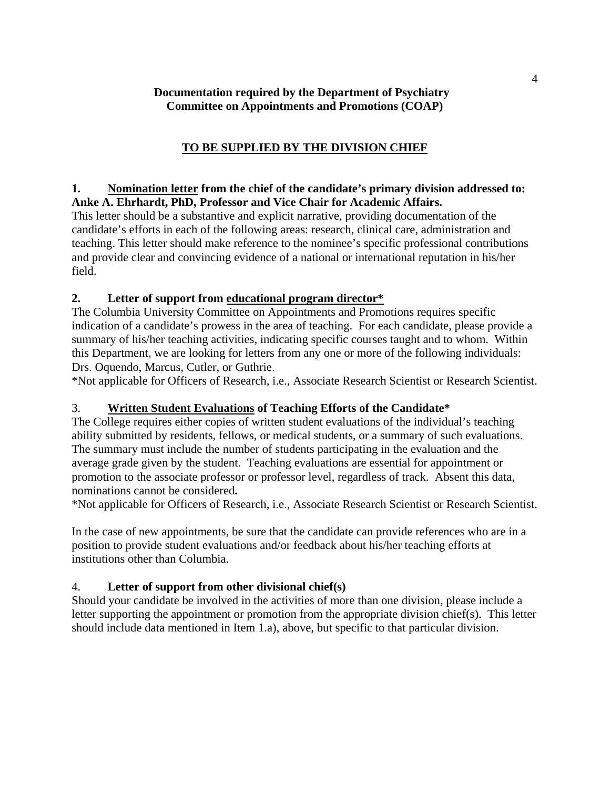## **Documentation required by the Department of Psychiatry Committee on Appointments and Promotions (COAP)**

# **TO BE SUPPLIED BY THE DIVISION CHIEF**

### **1. Nomination letter from the chief of the candidate's primary division addressed to: Anke A. Ehrhardt, PhD, Professor and Vice Chair for Academic Affairs.**

This letter should be a substantive and explicit narrative, providing documentation of the candidate's efforts in each of the following areas: research, clinical care, administration and teaching. This letter should make reference to the nominee's specific professional contributions and provide clear and convincing evidence of a national or international reputation in his/her field.

## **2. Letter of support from educational program director\***

The Columbia University Committee on Appointments and Promotions requires specific indication of a candidate's prowess in the area of teaching. For each candidate, please provide a summary of his/her teaching activities, indicating specific courses taught and to whom. Within this Department, we are looking for letters from any one or more of the following individuals: Drs. Oquendo, Marcus, Cutler, or Guthrie.

\*Not applicable for Officers of Research, i.e., Associate Research Scientist or Research Scientist.

# 3. **Written Student Evaluations of Teaching Efforts of the Candidate\***

The College requires either copies of written student evaluations of the individual's teaching ability submitted by residents, fellows, or medical students, or a summary of such evaluations. The summary must include the number of students participating in the evaluation and the average grade given by the student. Teaching evaluations are essential for appointment or promotion to the associate professor or professor level, regardless of track. Absent this data, nominations cannot be considered**.** 

\*Not applicable for Officers of Research, i.e., Associate Research Scientist or Research Scientist.

In the case of new appointments, be sure that the candidate can provide references who are in a position to provide student evaluations and/or feedback about his/her teaching efforts at institutions other than Columbia.

### 4. **Letter of support from other divisional chief(s)**

Should your candidate be involved in the activities of more than one division, please include a letter supporting the appointment or promotion from the appropriate division chief(s). This letter should include data mentioned in Item 1.a), above, but specific to that particular division.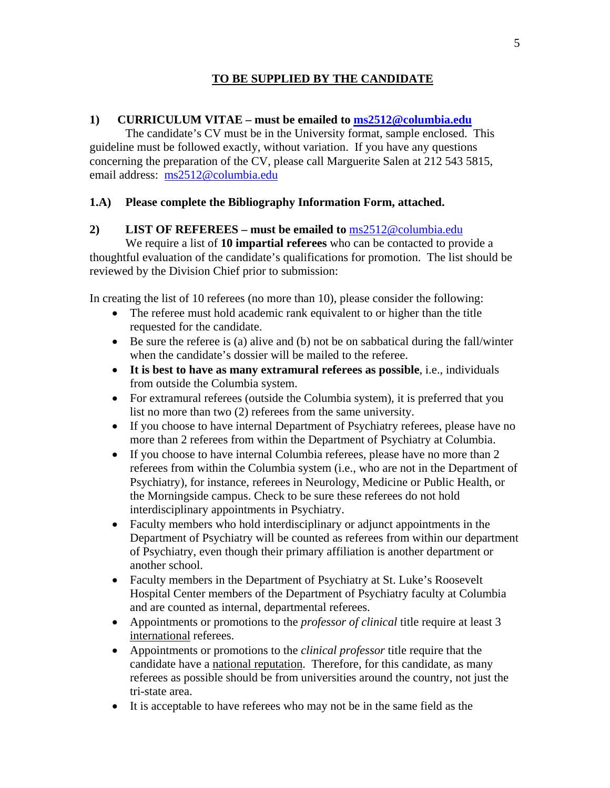## **TO BE SUPPLIED BY THE CANDIDATE**

### **1) CURRICULUM VITAE – must be emailed to ms2512@columbia.edu**

 The candidate's CV must be in the University format, sample enclosed. This guideline must be followed exactly, without variation. If you have any questions concerning the preparation of the CV, please call Marguerite Salen at 212 543 5815, email address: ms2512@columbia.edu

### **1.A) Please complete the Bibliography Information Form, attached.**

### **2) LIST OF REFEREES – must be emailed to** ms2512@columbia.edu

 We require a list of **10 impartial referees** who can be contacted to provide a thoughtful evaluation of the candidate's qualifications for promotion. The list should be reviewed by the Division Chief prior to submission:

In creating the list of 10 referees (no more than 10), please consider the following:

- The referee must hold academic rank equivalent to or higher than the title requested for the candidate.
- $\bullet$  Be sure the referee is (a) alive and (b) not be on sabbatical during the fall/winter when the candidate's dossier will be mailed to the referee.
- **It is best to have as many extramural referees as possible**, i.e., individuals from outside the Columbia system.
- For extramural referees (outside the Columbia system), it is preferred that you list no more than two (2) referees from the same university.
- If you choose to have internal Department of Psychiatry referees, please have no more than 2 referees from within the Department of Psychiatry at Columbia.
- If you choose to have internal Columbia referees, please have no more than 2 referees from within the Columbia system (i.e., who are not in the Department of Psychiatry), for instance, referees in Neurology, Medicine or Public Health, or the Morningside campus. Check to be sure these referees do not hold interdisciplinary appointments in Psychiatry.
- Faculty members who hold interdisciplinary or adjunct appointments in the Department of Psychiatry will be counted as referees from within our department of Psychiatry, even though their primary affiliation is another department or another school.
- Faculty members in the Department of Psychiatry at St. Luke's Roosevelt Hospital Center members of the Department of Psychiatry faculty at Columbia and are counted as internal, departmental referees.
- Appointments or promotions to the *professor of clinical* title require at least 3 international referees.
- Appointments or promotions to the *clinical professor* title require that the candidate have a national reputation. Therefore, for this candidate, as many referees as possible should be from universities around the country, not just the tri-state area.
- It is acceptable to have referees who may not be in the same field as the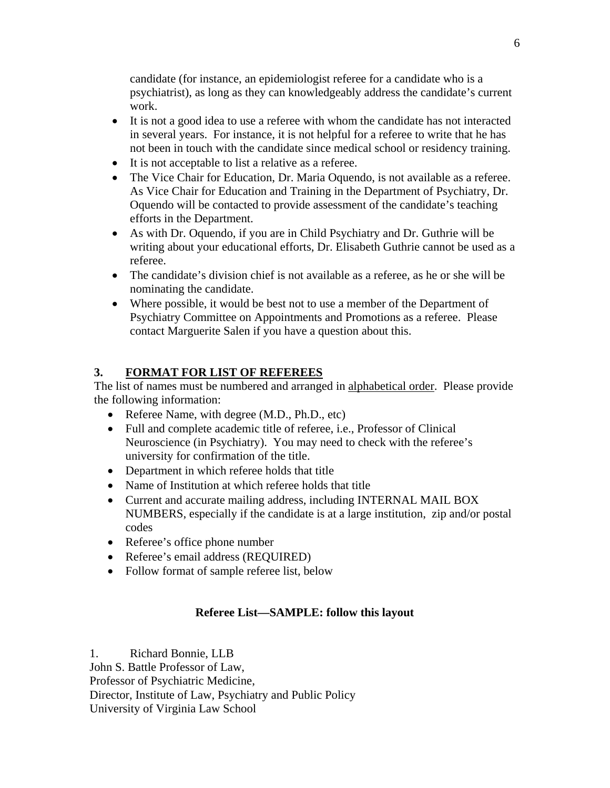candidate (for instance, an epidemiologist referee for a candidate who is a psychiatrist), as long as they can knowledgeably address the candidate's current work.

- It is not a good idea to use a referee with whom the candidate has not interacted in several years. For instance, it is not helpful for a referee to write that he has not been in touch with the candidate since medical school or residency training.
- It is not acceptable to list a relative as a referee.
- The Vice Chair for Education, Dr. Maria Oquendo, is not available as a referee. As Vice Chair for Education and Training in the Department of Psychiatry, Dr. Oquendo will be contacted to provide assessment of the candidate's teaching efforts in the Department.
- As with Dr. Oquendo, if you are in Child Psychiatry and Dr. Guthrie will be writing about your educational efforts, Dr. Elisabeth Guthrie cannot be used as a referee.
- The candidate's division chief is not available as a referee, as he or she will be nominating the candidate.
- Where possible, it would be best not to use a member of the Department of Psychiatry Committee on Appointments and Promotions as a referee. Please contact Marguerite Salen if you have a question about this.

# **3. FORMAT FOR LIST OF REFEREES**

The list of names must be numbered and arranged in alphabetical order. Please provide the following information:

- Referee Name, with degree (M.D., Ph.D., etc)
- Full and complete academic title of referee, i.e., Professor of Clinical Neuroscience (in Psychiatry). You may need to check with the referee's university for confirmation of the title.
- Department in which referee holds that title
- Name of Institution at which referee holds that title
- Current and accurate mailing address, including INTERNAL MAIL BOX NUMBERS, especially if the candidate is at a large institution, zip and/or postal codes
- Referee's office phone number
- Referee's email address (REQUIRED)
- Follow format of sample referee list, below

# **Referee List—SAMPLE: follow this layout**

1. Richard Bonnie, LLB John S. Battle Professor of Law, Professor of Psychiatric Medicine, Director, Institute of Law, Psychiatry and Public Policy University of Virginia Law School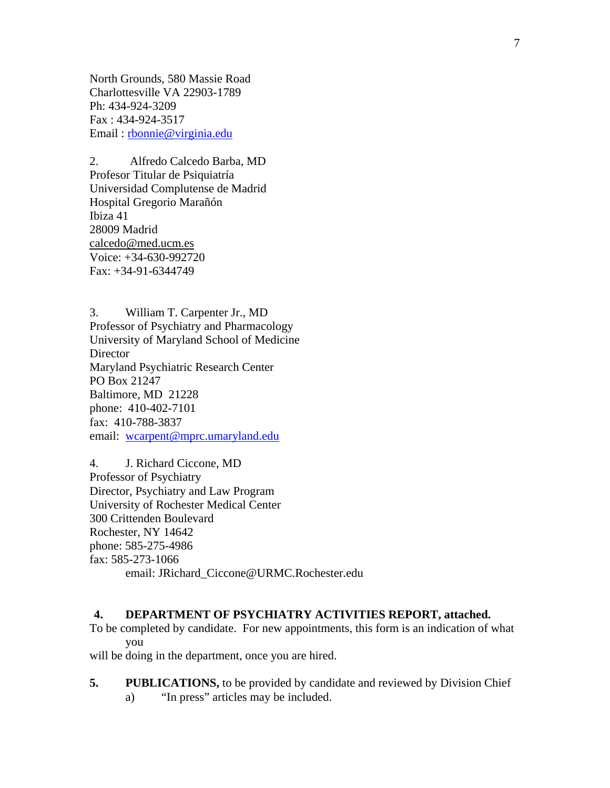North Grounds, 580 Massie Road Charlottesville VA 22903-1789 Ph: 434-924-3209 Fax : 434-924-3517 Email : rbonnie@virginia.edu

2. Alfredo Calcedo Barba, MD Profesor Titular de Psiquiatría Universidad Complutense de Madrid Hospital Gregorio Marañón Ibiza 41 28009 Madrid calcedo@med.ucm.es Voice: +34-630-992720 Fax: +34-91-6344749

3. William T. Carpenter Jr., MD Professor of Psychiatry and Pharmacology University of Maryland School of Medicine **Director** Maryland Psychiatric Research Center PO Box 21247 Baltimore, MD 21228 phone: 410-402-7101 fax: 410-788-3837 email: wcarpent@mprc.umaryland.edu

4. J. Richard Ciccone, MD Professor of Psychiatry Director, Psychiatry and Law Program University of Rochester Medical Center 300 Crittenden Boulevard Rochester, NY 14642 phone: 585-275-4986 fax: 585-273-1066 email: JRichard\_Ciccone@URMC.Rochester.edu

### **4. DEPARTMENT OF PSYCHIATRY ACTIVITIES REPORT, attached.**

To be completed by candidate. For new appointments, this form is an indication of what you

will be doing in the department, once you are hired.

**5.** PUBLICATIONS, to be provided by candidate and reviewed by Division Chief a) "In press" articles may be included.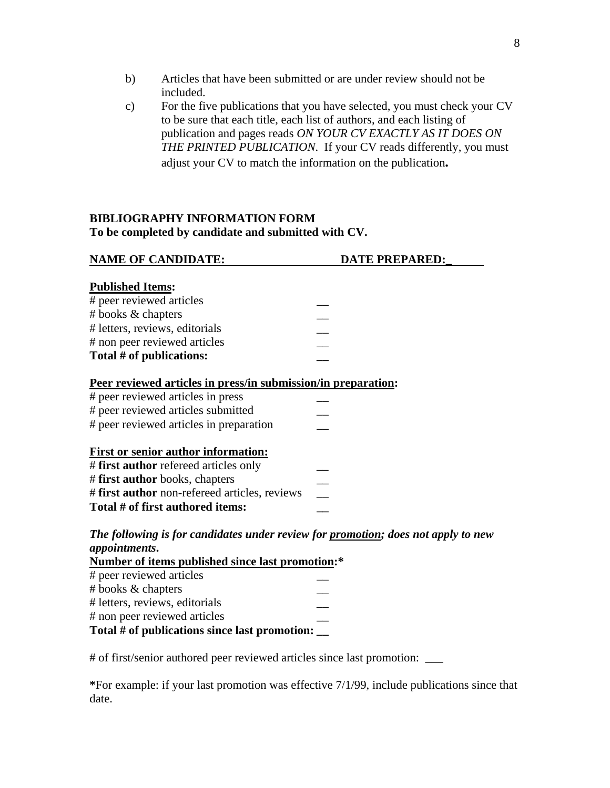- b) Articles that have been submitted or are under review should not be included.
- c) For the five publications that you have selected, you must check your CV to be sure that each title, each list of authors, and each listing of publication and pages reads *ON YOUR CV EXACTLY AS IT DOES ON THE PRINTED PUBLICATION*. If your CV reads differently, you must adjust your CV to match the information on the publication**.**

### **BIBLIOGRAPHY INFORMATION FORM To be completed by candidate and submitted with CV.**

| <b>NAME OF CANDIDATE:</b>                                                         | <b>DATE PREPARED:</b> |
|-----------------------------------------------------------------------------------|-----------------------|
|                                                                                   |                       |
| <b>Published Items:</b>                                                           |                       |
| # peer reviewed articles                                                          |                       |
| # books & chapters                                                                |                       |
| # letters, reviews, editorials                                                    |                       |
| # non peer reviewed articles                                                      |                       |
| Total # of publications:                                                          |                       |
| Peer reviewed articles in press/in submission/in preparation:                     |                       |
| # peer reviewed articles in press                                                 |                       |
| # peer reviewed articles submitted                                                |                       |
| # peer reviewed articles in preparation                                           |                       |
| <b>First or senior author information:</b>                                        |                       |
| # first author refereed articles only                                             |                       |
| # first author books, chapters                                                    |                       |
| # first author non-refereed articles, reviews                                     |                       |
| Total # of first authored items:                                                  |                       |
| The following is for candidates under review for promotion; does not apply to new |                       |
| appointments.                                                                     |                       |
| <b>Number of items published since last promotion:*</b>                           |                       |
| # peer reviewed articles                                                          |                       |
| # books & chapters                                                                |                       |
| # letters, reviews, editorials                                                    |                       |
| # non peer reviewed articles                                                      |                       |
| Total # of publications since last promotion:                                     |                       |

# of first/senior authored peer reviewed articles since last promotion: \_\_\_

**\***For example: if your last promotion was effective 7/1/99, include publications since that date.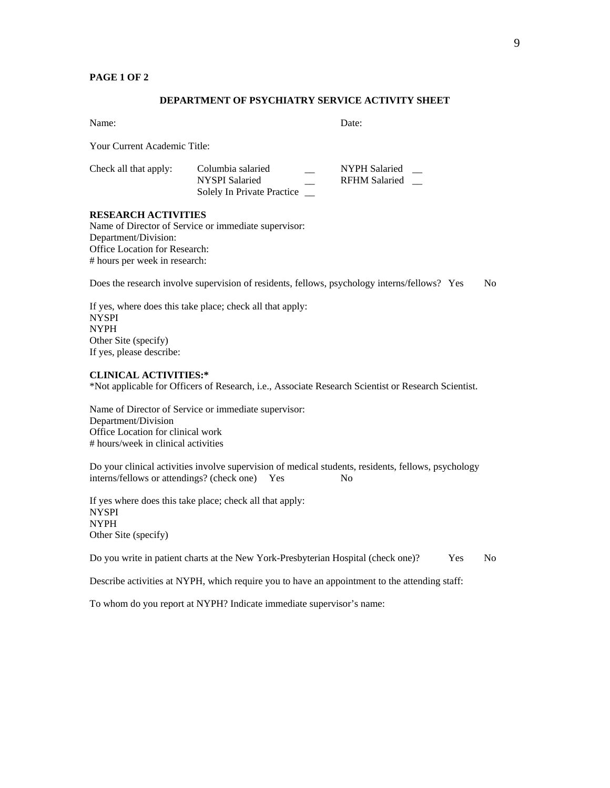#### **PAGE 1 OF 2**

#### **DEPARTMENT OF PSYCHIATRY SERVICE ACTIVITY SHEET**

Name: Date:

Your Current Academic Title:

| Check all that apply: | Columbia salaried          | NYPH Salaried |  |
|-----------------------|----------------------------|---------------|--|
|                       | NYSPI Salaried             | RFHM Salaried |  |
|                       | Solely In Private Practice |               |  |

#### **RESEARCH ACTIVITIES**

Name of Director of Service or immediate supervisor: Department/Division: Office Location for Research: # hours per week in research:

Does the research involve supervision of residents, fellows, psychology interns/fellows? Yes No

If yes, where does this take place; check all that apply: NYSPI NYPH Other Site (specify) If yes, please describe:

#### **CLINICAL ACTIVITIES:\***

\*Not applicable for Officers of Research, i.e., Associate Research Scientist or Research Scientist.

Name of Director of Service or immediate supervisor: Department/Division Office Location for clinical work # hours/week in clinical activities

Do your clinical activities involve supervision of medical students, residents, fellows, psychology interns/fellows or attendings? (check one) Yes No

If yes where does this take place; check all that apply: NYSPI NYPH Other Site (specify)

Do you write in patient charts at the New York-Presbyterian Hospital (check one)? Yes No

Describe activities at NYPH, which require you to have an appointment to the attending staff:

To whom do you report at NYPH? Indicate immediate supervisor's name: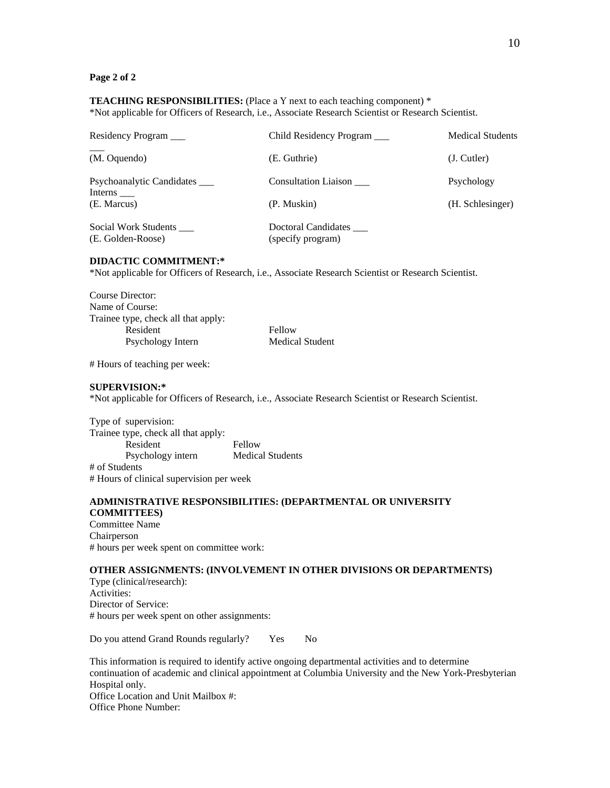#### **Page 2 of 2**

**TEACHING RESPONSIBILITIES:** (Place a Y next to each teaching component) \* \*Not applicable for Officers of Research, i.e., Associate Research Scientist or Research Scientist.

| Residency Program                         | Child Residency Program                  | <b>Medical Students</b> |
|-------------------------------------------|------------------------------------------|-------------------------|
| (M. Oquendo)                              | (E. Guthrie)                             | (J. Cutler)             |
| Psychoanalytic Candidates<br>Interns      | <b>Consultation Liaison</b>              | Psychology              |
| (E. Marcus)                               | (P. Muskin)                              | (H. Schlesinger)        |
| Social Work Students<br>(E. Golden-Roose) | Doctoral Candidates<br>(specify program) |                         |

#### **DIDACTIC COMMITMENT:\***

\*Not applicable for Officers of Research, i.e., Associate Research Scientist or Research Scientist.

Course Director: Name of Course: Trainee type, check all that apply: Resident Fellow Psychology Intern Medical Student

# Hours of teaching per week:

#### **SUPERVISION:\***

\*Not applicable for Officers of Research, i.e., Associate Research Scientist or Research Scientist.

Type of supervision: Trainee type, check all that apply: Resident Fellow Psychology intern Medical Students # of Students # Hours of clinical supervision per week

#### **ADMINISTRATIVE RESPONSIBILITIES: (DEPARTMENTAL OR UNIVERSITY COMMITTEES)**

Committee Name Chairperson # hours per week spent on committee work:

#### **OTHER ASSIGNMENTS: (INVOLVEMENT IN OTHER DIVISIONS OR DEPARTMENTS)**

Type (clinical/research): Activities: Director of Service: # hours per week spent on other assignments:

Do you attend Grand Rounds regularly? Yes No

This information is required to identify active ongoing departmental activities and to determine continuation of academic and clinical appointment at Columbia University and the New York-Presbyterian Hospital only. Office Location and Unit Mailbox #: Office Phone Number: